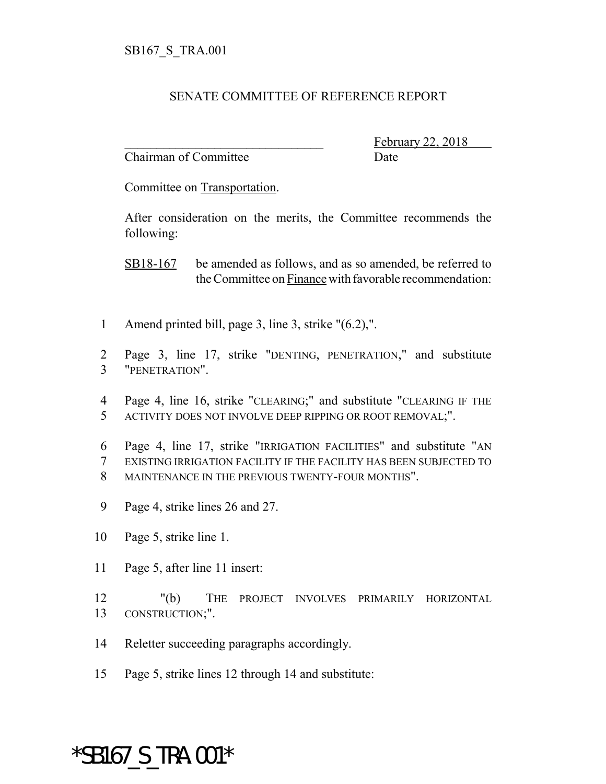## SENATE COMMITTEE OF REFERENCE REPORT

Chairman of Committee Date

February 22, 2018

Committee on Transportation.

After consideration on the merits, the Committee recommends the following:

SB18-167 be amended as follows, and as so amended, be referred to the Committee on Finance with favorable recommendation:

- 1 Amend printed bill, page 3, line 3, strike "(6.2),".
- 2 Page 3, line 17, strike "DENTING, PENETRATION," and substitute 3 "PENETRATION".
- 4 Page 4, line 16, strike "CLEARING;" and substitute "CLEARING IF THE 5 ACTIVITY DOES NOT INVOLVE DEEP RIPPING OR ROOT REMOVAL;".
- 6 Page 4, line 17, strike "IRRIGATION FACILITIES" and substitute "AN 7 EXISTING IRRIGATION FACILITY IF THE FACILITY HAS BEEN SUBJECTED TO 8 MAINTENANCE IN THE PREVIOUS TWENTY-FOUR MONTHS".
- 9 Page 4, strike lines 26 and 27.
- 10 Page 5, strike line 1.
- 11 Page 5, after line 11 insert:
- 12 "(b) THE PROJECT INVOLVES PRIMARILY HORIZONTAL 13 CONSTRUCTION;".
- 14 Reletter succeeding paragraphs accordingly.
- 15 Page 5, strike lines 12 through 14 and substitute:

## \*SB167\_S\_TRA.001\*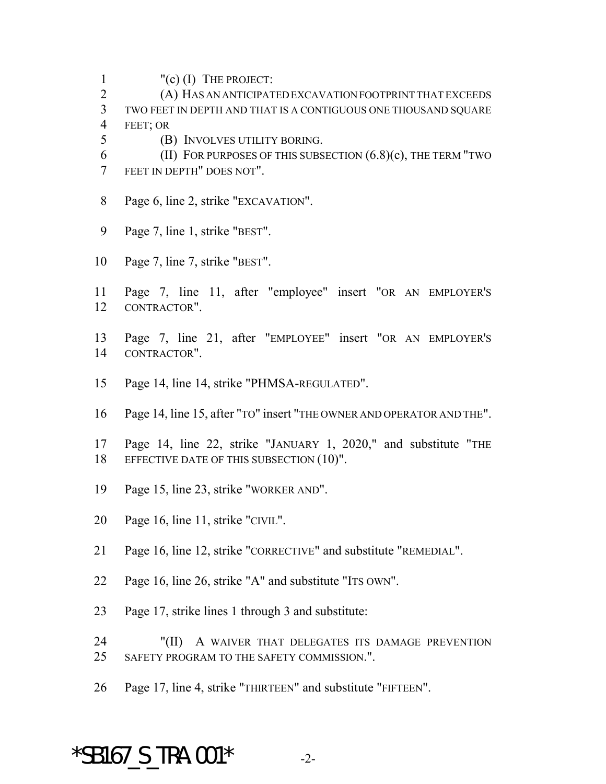- "(c) (I) THE PROJECT:
- (A) HAS AN ANTICIPATED EXCAVATION FOOTPRINT THAT EXCEEDS TWO FEET IN DEPTH AND THAT IS A CONTIGUOUS ONE THOUSAND SQUARE FEET; OR
- (B) INVOLVES UTILITY BORING.
- 6 (II) FOR PURPOSES OF THIS SUBSECTION  $(6.8)(c)$ , THE TERM "TWO FEET IN DEPTH" DOES NOT".
- 8 Page 6, line 2, strike "EXCAVATION".
- Page 7, line 1, strike "BEST".
- Page 7, line 7, strike "BEST".
- Page 7, line 11, after "employee" insert "OR AN EMPLOYER'S CONTRACTOR".
- Page 7, line 21, after "EMPLOYEE" insert "OR AN EMPLOYER'S CONTRACTOR".
- Page 14, line 14, strike "PHMSA-REGULATED".
- Page 14, line 15, after "TO" insert "THE OWNER AND OPERATOR AND THE".
- Page 14, line 22, strike "JANUARY 1, 2020," and substitute "THE 18 EFFECTIVE DATE OF THIS SUBSECTION (10)".
- Page 15, line 23, strike "WORKER AND".
- Page 16, line 11, strike "CIVIL".
- Page 16, line 12, strike "CORRECTIVE" and substitute "REMEDIAL".
- Page 16, line 26, strike "A" and substitute "ITS OWN".
- Page 17, strike lines 1 through 3 and substitute:
- 24 "(II) A WAIVER THAT DELEGATES ITS DAMAGE PREVENTION SAFETY PROGRAM TO THE SAFETY COMMISSION.".
- Page 17, line 4, strike "THIRTEEN" and substitute "FIFTEEN".

## \*SB167 S TRA.001\*  $-2$ -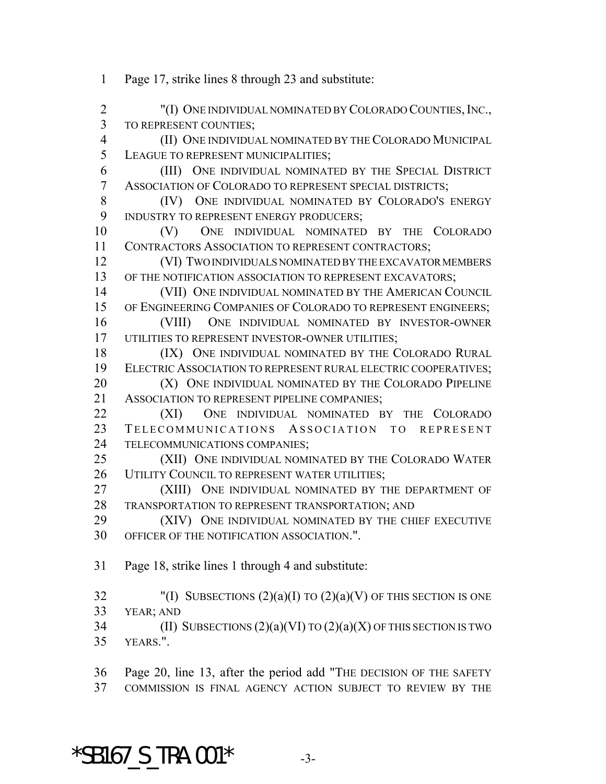2 "(I) ONE INDIVIDUAL NOMINATED BY COLORADO COUNTIES, INC., TO REPRESENT COUNTIES; (II) ONE INDIVIDUAL NOMINATED BY THE COLORADO MUNICIPAL LEAGUE TO REPRESENT MUNICIPALITIES; (III) ONE INDIVIDUAL NOMINATED BY THE SPECIAL DISTRICT ASSOCIATION OF COLORADO TO REPRESENT SPECIAL DISTRICTS; 8 (IV) ONE INDIVIDUAL NOMINATED BY COLORADO'S ENERGY 9 INDUSTRY TO REPRESENT ENERGY PRODUCERS; (V) ONE INDIVIDUAL NOMINATED BY THE COLORADO 11 CONTRACTORS ASSOCIATION TO REPRESENT CONTRACTORS; (VI) TWO INDIVIDUALS NOMINATED BY THE EXCAVATOR MEMBERS 13 OF THE NOTIFICATION ASSOCIATION TO REPRESENT EXCAVATORS; (VII) ONE INDIVIDUAL NOMINATED BY THE AMERICAN COUNCIL 15 OF ENGINEERING COMPANIES OF COLORADO TO REPRESENT ENGINEERS; (VIII) ONE INDIVIDUAL NOMINATED BY INVESTOR-OWNER UTILITIES TO REPRESENT INVESTOR-OWNER UTILITIES; 18 (IX) ONE INDIVIDUAL NOMINATED BY THE COLORADO RURAL ELECTRIC ASSOCIATION TO REPRESENT RURAL ELECTRIC COOPERATIVES; **(X)** ONE INDIVIDUAL NOMINATED BY THE COLORADO PIPELINE 21 ASSOCIATION TO REPRESENT PIPELINE COMPANIES; (XI) ONE INDIVIDUAL NOMINATED BY THE COLORADO TELECOMMUNICATIONS ASSOCIATION TO REPRESENT TELECOMMUNICATIONS COMPANIES; (XII) ONE INDIVIDUAL NOMINATED BY THE COLORADO WATER 26 UTILITY COUNCIL TO REPRESENT WATER UTILITIES; (XIII) ONE INDIVIDUAL NOMINATED BY THE DEPARTMENT OF TRANSPORTATION TO REPRESENT TRANSPORTATION; AND (XIV) ONE INDIVIDUAL NOMINATED BY THE CHIEF EXECUTIVE OFFICER OF THE NOTIFICATION ASSOCIATION.". Page 18, strike lines 1 through 4 and substitute: 32 "(I) SUBSECTIONS  $(2)(a)(I)$  TO  $(2)(a)(V)$  OF THIS SECTION IS ONE YEAR; AND 34 (II) SUBSECTIONS  $(2)(a)(VI)$  TO  $(2)(a)(X)$  OF THIS SECTION IS TWO YEARS.". Page 20, line 13, after the period add "THE DECISION OF THE SAFETY

Page 17, strike lines 8 through 23 and substitute:

COMMISSION IS FINAL AGENCY ACTION SUBJECT TO REVIEW BY THE

\*SB167 S TRA.001\*  $-3$ -